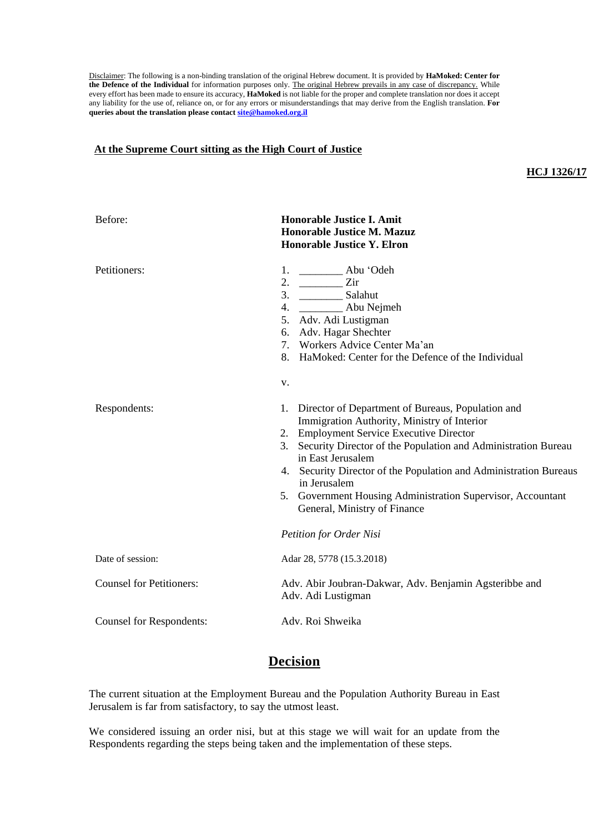Disclaimer: The following is a non-binding translation of the original Hebrew document. It is provided by **HaMoked: Center for the Defence of the Individual** for information purposes only. The original Hebrew prevails in any case of discrepancy. While every effort has been made to ensure its accuracy, **HaMoked** is not liable for the proper and complete translation nor does it accept any liability for the use of, reliance on, or for any errors or misunderstandings that may derive from the English translation. **For queries about the translation please contac[t site@hamoked.org.il](mailto:site@hamoked.org.il)**

## **At the Supreme Court sitting as the High Court of Justice**

## **HCJ 1326/17**

| Before:                         | <b>Honorable Justice I. Amit</b><br><b>Honorable Justice M. Mazuz</b><br><b>Honorable Justice Y. Elron</b>                                                                                                                                                                                                                                                                                                                                                           |
|---------------------------------|----------------------------------------------------------------------------------------------------------------------------------------------------------------------------------------------------------------------------------------------------------------------------------------------------------------------------------------------------------------------------------------------------------------------------------------------------------------------|
| Petitioners:                    | 1. ____________ Abu 'Odeh<br>2. $\qquad \qquad$<br>Zir<br>5. Adv. Adi Lustigman<br>6. Adv. Hagar Shechter<br>7. Workers Advice Center Ma'an<br>8.<br>HaMoked: Center for the Defence of the Individual<br>v.                                                                                                                                                                                                                                                         |
| Respondents:                    | Director of Department of Bureaus, Population and<br>1.<br>Immigration Authority, Ministry of Interior<br>2. Employment Service Executive Director<br>Security Director of the Population and Administration Bureau<br>3.<br>in East Jerusalem<br>4. Security Director of the Population and Administration Bureaus<br>in Jerusalem<br>5. Government Housing Administration Supervisor, Accountant<br>General, Ministry of Finance<br><b>Petition for Order Nisi</b> |
| Date of session:                | Adar 28, 5778 (15.3.2018)                                                                                                                                                                                                                                                                                                                                                                                                                                            |
| <b>Counsel for Petitioners:</b> | Adv. Abir Joubran-Dakwar, Adv. Benjamin Agsteribbe and<br>Adv. Adi Lustigman                                                                                                                                                                                                                                                                                                                                                                                         |
| <b>Counsel for Respondents:</b> | Adv. Roi Shweika                                                                                                                                                                                                                                                                                                                                                                                                                                                     |

## **Decision**

The current situation at the Employment Bureau and the Population Authority Bureau in East Jerusalem is far from satisfactory, to say the utmost least.

We considered issuing an order nisi, but at this stage we will wait for an update from the Respondents regarding the steps being taken and the implementation of these steps.